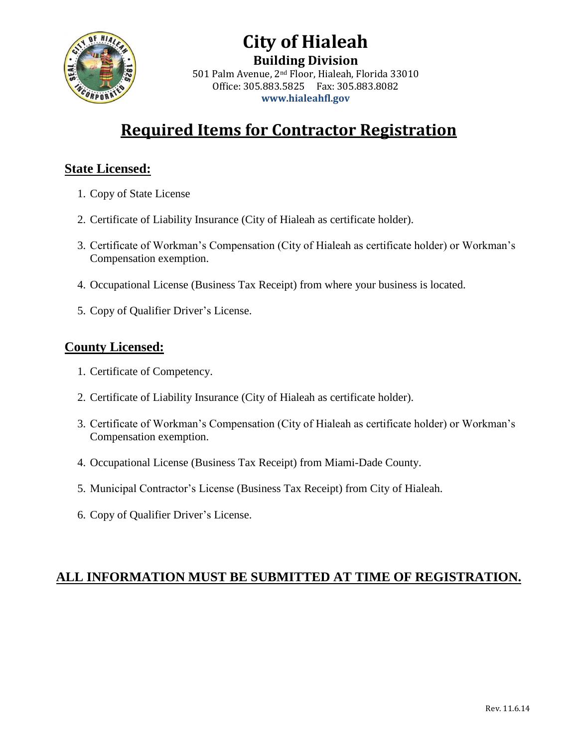

#### **City of Hialeah Building Division** 501 Palm Avenue, 2nd Floor, Hialeah, Florida 33010 Office: 305.883.5825 Fax: 305.883.8082 **[www.hialeahfl.gov](http://www.hialeahfl.gov/)**

# **Required Items for Contractor Registration**

#### **State Licensed:**

- 1. Copy of State License
- 2. Certificate of Liability Insurance (City of Hialeah as certificate holder).
- 3. Certificate of Workman's Compensation (City of Hialeah as certificate holder) or Workman's Compensation exemption.
- 4. Occupational License (Business Tax Receipt) from where your business is located.
- 5. Copy of Qualifier Driver's License.

#### **County Licensed:**

- 1. Certificate of Competency.
- 2. Certificate of Liability Insurance (City of Hialeah as certificate holder).
- 3. Certificate of Workman's Compensation (City of Hialeah as certificate holder) or Workman's Compensation exemption.
- 4. Occupational License (Business Tax Receipt) from Miami-Dade County.
- 5. Municipal Contractor's License (Business Tax Receipt) from City of Hialeah.
- 6. Copy of Qualifier Driver's License.

#### **ALL INFORMATION MUST BE SUBMITTED AT TIME OF REGISTRATION.**